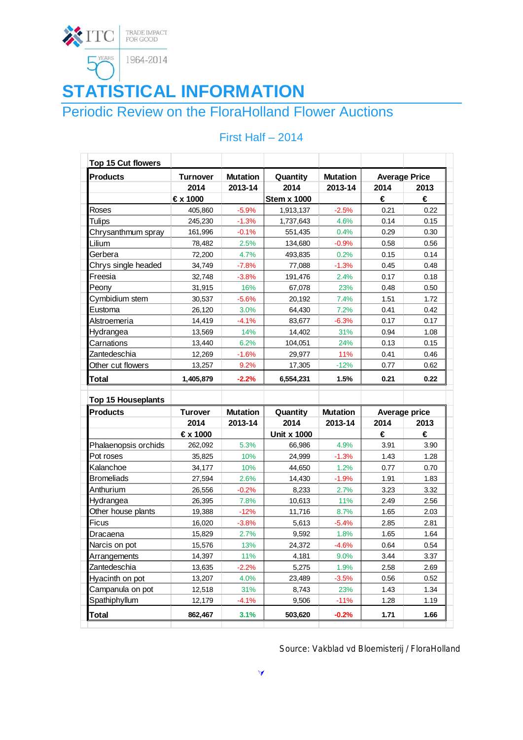

# **STATISTICAL INFORMATION**

## Periodic Review on the FloraHolland Flower Auctions

| Top 15 Cut flowers                           |                 |                 |                    |                 |                      |      |
|----------------------------------------------|-----------------|-----------------|--------------------|-----------------|----------------------|------|
| <b>Products</b>                              | <b>Turnover</b> | <b>Mutation</b> | Quantity           | <b>Mutation</b> | <b>Average Price</b> |      |
|                                              | 2014            | 2013-14         | 2014               | 2013-14         | 2014                 | 2013 |
|                                              | €x 1000         |                 | <b>Stem x 1000</b> |                 | €                    | €    |
| Roses                                        | 405,860         | $-5.9%$         | 1,913,137          | $-2.5%$         | 0.21                 | 0.22 |
| <b>Tulips</b>                                | 245,230         | $-1.3%$         | 1,737,643          | 4.6%            | 0.14                 | 0.15 |
| Chrysanthmum spray                           | 161,996         | $-0.1%$         | 551,435            | 0.4%            | 0.29                 | 0.30 |
| Lilium                                       | 78,482          | 2.5%            | 134,680            | $-0.9%$         | 0.58                 | 0.56 |
| Gerbera                                      | 72,200          | 4.7%            | 493,835            | 0.2%            | 0.15                 | 0.14 |
| Chrys single headed                          | 34,749          | $-7.8%$         | 77,088             | $-1.3%$         | 0.45                 | 0.48 |
| Freesia                                      | 32,748          | $-3.8%$         | 191,476            | 2.4%            | 0.17                 | 0.18 |
| Peony                                        | 31,915          | 16%             | 67,078             | 23%             | 0.48                 | 0.50 |
| Cymbidium stem                               | 30,537          | $-5.6%$         | 20,192             | 7.4%            | 1.51                 | 1.72 |
| Eustoma                                      | 26,120          | 3.0%            | 64,430             | 7.2%            | 0.41                 | 0.42 |
| Alstroemeria                                 | 14,419          | $-4.1%$         | 83,677             | $-6.3%$         | 0.17                 | 0.17 |
| Hydrangea                                    | 13,569          | 14%             | 14,402             | 31%             | 0.94                 | 1.08 |
| Carnations                                   | 13,440          | 6.2%            | 104,051            | 24%             | 0.13                 | 0.15 |
| Zantedeschia                                 | 12,269          | $-1.6%$         | 29,977             | 11%             | 0.41                 | 0.46 |
| Other cut flowers                            | 13,257          | 9.2%            | 17,305             | $-12%$          | 0.77                 | 0.62 |
| <b>Total</b>                                 | 1,405,879       | $-2.2%$         | 6,554,231          | 1.5%            | 0.21                 | 0.22 |
|                                              |                 |                 |                    |                 |                      |      |
| <b>Top 15 Houseplants</b><br><b>Products</b> | <b>Turover</b>  | <b>Mutation</b> | Quantity           | <b>Mutation</b> | Average price        |      |
|                                              | 2014            | 2013-14         | 2014               | 2013-14         | 2014                 | 2013 |
|                                              | €x 1000         |                 | <b>Unit x 1000</b> |                 | €                    | €    |
| Phalaenopsis orchids                         | 262,092         | 5.3%            | 66,986             | 4.9%            | 3.91                 | 3.90 |
| Pot roses                                    | 35,825          | 10%             | 24,999             | $-1.3%$         | 1.43                 | 1.28 |
| Kalanchoe                                    |                 | 10%             |                    | 1.2%            | 0.77                 | 0.70 |
|                                              | 34,177          |                 | 44,650             |                 | 1.91                 | 1.83 |
| <b>Bromeliads</b><br>Anthurium               | 27,594          | 2.6%            | 14,430             | $-1.9%$         |                      | 3.32 |
|                                              | 26,556          | $-0.2%$         | 8,233              | 2.7%            | 3.23                 |      |
| Hydrangea                                    | 26,395          | 7.8%            | 10,613             | 11%             | 2.49                 | 2.56 |
| Other house plants                           | 19,388          | $-12%$          | 11,716             | 8.7%            | 1.65                 | 2.03 |
| <b>Ficus</b>                                 | 16,020          | $-3.8%$         | 5,613              | $-5.4%$         | 2.85                 | 2.81 |
| Dracaena                                     | 15,829          | 2.7%            | 9,592              | 1.8%            | 1.65                 | 1.64 |
| Narcis on pot                                | 15,576          | 13%             | 24,372             | $-4.6%$         | 0.64                 | 0.54 |
| Arrangements                                 | 14,397          | 11%             | 4,181              | 9.0%            | 3.44                 | 3.37 |
| Zantedeschia                                 | 13,635          | $-2.2%$         | 5,275              | 1.9%            | 2.58                 | 2.69 |
| Hyacinth on pot                              | 13,207          | 4.0%            | 23,489             | $-3.5%$         | 0.56                 | 0.52 |
| Campanula on pot                             | 12,518          | 31%             | 8,743              | 23%             | 1.43                 | 1.34 |
| Spathiphyllum                                | 12,179          | $-4.1%$         | 9,506              | $-11%$          | 1.28                 | 1.19 |
|                                              |                 |                 |                    |                 |                      |      |

### First Half – 2014

Source: Vakblad vd Bloemisterij / FloraHolland